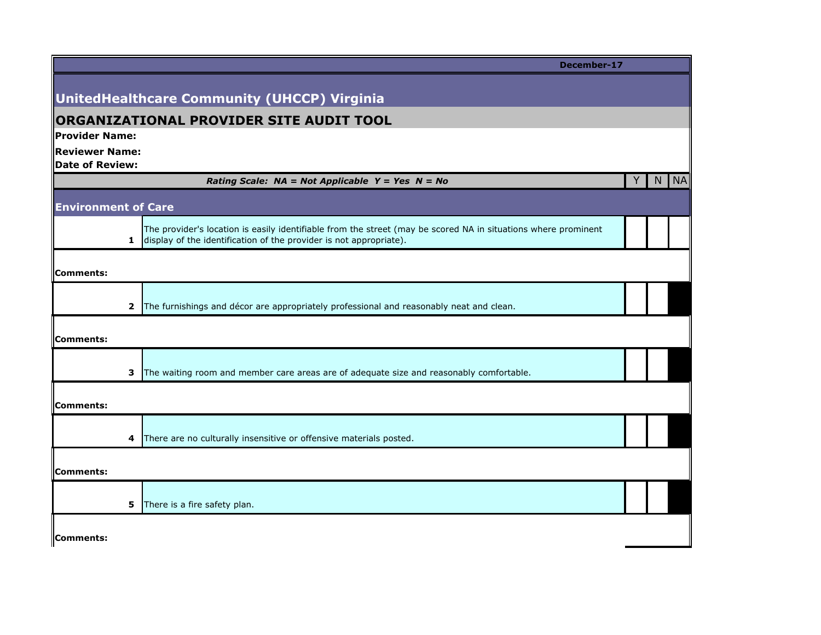|                            | December-17                                                                                                                                                                          |   |    |                          |
|----------------------------|--------------------------------------------------------------------------------------------------------------------------------------------------------------------------------------|---|----|--------------------------|
|                            |                                                                                                                                                                                      |   |    |                          |
|                            | UnitedHealthcare Community (UHCCP) Virginia                                                                                                                                          |   |    |                          |
| Provider Name:             | <b>ORGANIZATIONAL PROVIDER SITE AUDIT TOOL</b>                                                                                                                                       |   |    |                          |
| <b>Reviewer Name:</b>      |                                                                                                                                                                                      |   |    |                          |
| Date of Review:            |                                                                                                                                                                                      |   |    |                          |
|                            | Rating Scale: $NA = Not Applied Y = Yes \tN = No$                                                                                                                                    | Y | N. | $\overline{\mathsf{NA}}$ |
| <b>Environment of Care</b> |                                                                                                                                                                                      |   |    |                          |
| $\mathbf{1}$               | The provider's location is easily identifiable from the street (may be scored NA in situations where prominent<br>display of the identification of the provider is not appropriate). |   |    |                          |
| Comments:                  |                                                                                                                                                                                      |   |    |                          |
| 2                          | The furnishings and décor are appropriately professional and reasonably neat and clean.                                                                                              |   |    |                          |
| Comments:                  |                                                                                                                                                                                      |   |    |                          |
| 3                          | The waiting room and member care areas are of adequate size and reasonably comfortable.                                                                                              |   |    |                          |
| Comments:                  |                                                                                                                                                                                      |   |    |                          |
| 4                          | There are no culturally insensitive or offensive materials posted.                                                                                                                   |   |    |                          |
| Comments:                  |                                                                                                                                                                                      |   |    |                          |
| 5                          | There is a fire safety plan.                                                                                                                                                         |   |    |                          |
| Comments:                  |                                                                                                                                                                                      |   |    |                          |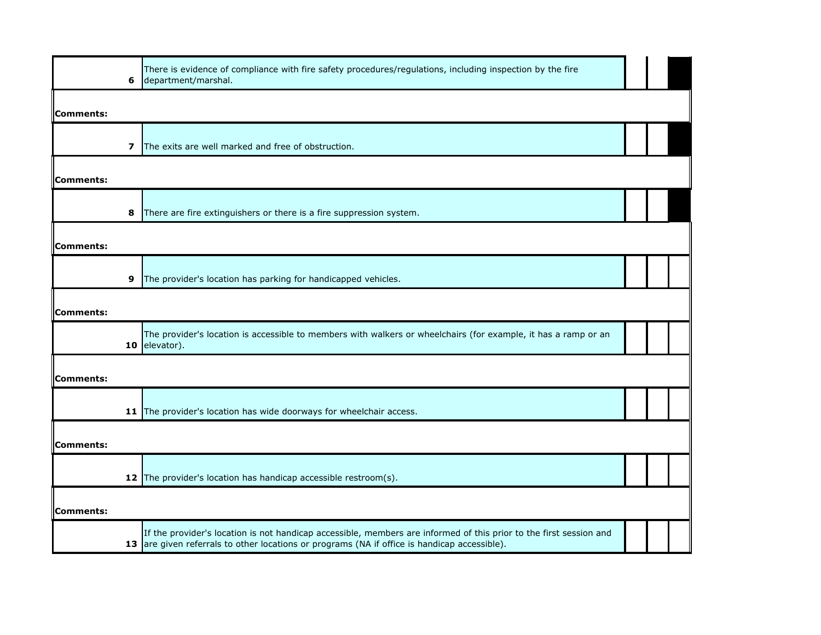| 6         | There is evidence of compliance with fire safety procedures/regulations, including inspection by the fire<br>department/marshal.                                                                                   |  |  |
|-----------|--------------------------------------------------------------------------------------------------------------------------------------------------------------------------------------------------------------------|--|--|
| Comments: |                                                                                                                                                                                                                    |  |  |
| 7         | The exits are well marked and free of obstruction.                                                                                                                                                                 |  |  |
| Comments: |                                                                                                                                                                                                                    |  |  |
| 8         | There are fire extinguishers or there is a fire suppression system.                                                                                                                                                |  |  |
| Comments: |                                                                                                                                                                                                                    |  |  |
| 9         | The provider's location has parking for handicapped vehicles.                                                                                                                                                      |  |  |
| Comments: |                                                                                                                                                                                                                    |  |  |
| 10        | The provider's location is accessible to members with walkers or wheelchairs (for example, it has a ramp or an<br>elevator).                                                                                       |  |  |
| Comments: |                                                                                                                                                                                                                    |  |  |
|           | 11 The provider's location has wide doorways for wheelchair access.                                                                                                                                                |  |  |
| Comments: |                                                                                                                                                                                                                    |  |  |
|           | 12 The provider's location has handicap accessible restroom(s).                                                                                                                                                    |  |  |
| Comments: |                                                                                                                                                                                                                    |  |  |
|           | If the provider's location is not handicap accessible, members are informed of this prior to the first session and<br>13 are given referrals to other locations or programs (NA if office is handicap accessible). |  |  |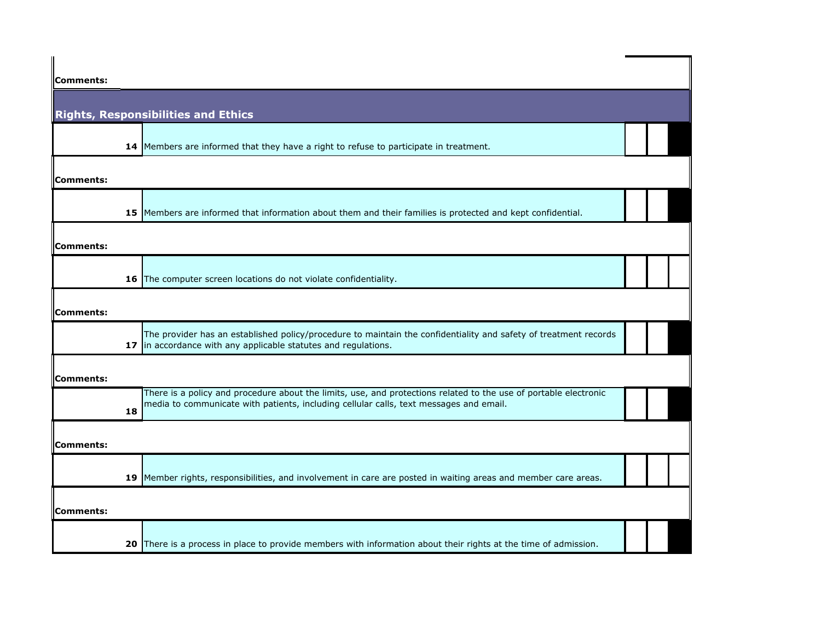| Comments:        |                                                                                                                                                                                    |  |  |
|------------------|------------------------------------------------------------------------------------------------------------------------------------------------------------------------------------|--|--|
|                  |                                                                                                                                                                                    |  |  |
|                  | <b>Rights, Responsibilities and Ethics</b>                                                                                                                                         |  |  |
|                  |                                                                                                                                                                                    |  |  |
|                  | 14 Members are informed that they have a right to refuse to participate in treatment.                                                                                              |  |  |
| <b>Comments:</b> |                                                                                                                                                                                    |  |  |
|                  |                                                                                                                                                                                    |  |  |
|                  | 15 Members are informed that information about them and their families is protected and kept confidential.                                                                         |  |  |
|                  |                                                                                                                                                                                    |  |  |
| <b>Comments:</b> |                                                                                                                                                                                    |  |  |
|                  | 16 The computer screen locations do not violate confidentiality.                                                                                                                   |  |  |
|                  |                                                                                                                                                                                    |  |  |
| Comments:        |                                                                                                                                                                                    |  |  |
|                  | The provider has an established policy/procedure to maintain the confidentiality and safety of treatment records<br>17 in accordance with any applicable statutes and regulations. |  |  |
| Comments:        |                                                                                                                                                                                    |  |  |
|                  | There is a policy and procedure about the limits, use, and protections related to the use of portable electronic                                                                   |  |  |
| 18               | media to communicate with patients, including cellular calls, text messages and email.                                                                                             |  |  |
| Comments:        |                                                                                                                                                                                    |  |  |
|                  |                                                                                                                                                                                    |  |  |
|                  | 19 Member rights, responsibilities, and involvement in care are posted in waiting areas and member care areas.                                                                     |  |  |
| Comments:        |                                                                                                                                                                                    |  |  |
|                  |                                                                                                                                                                                    |  |  |
| 20               | There is a process in place to provide members with information about their rights at the time of admission.                                                                       |  |  |
|                  |                                                                                                                                                                                    |  |  |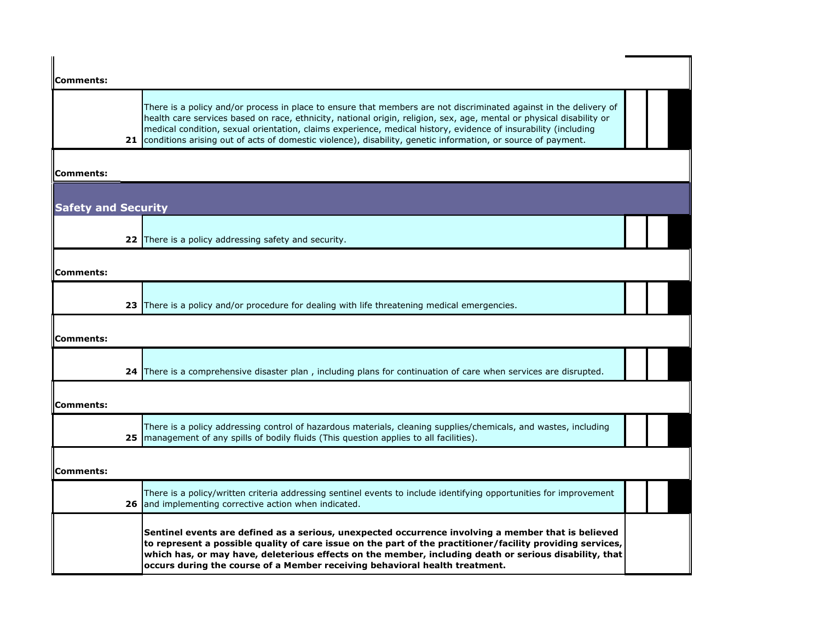| Comments:                  |                                                                                                                                                                                                                                                                                                                                                                                                                                                                                |  |
|----------------------------|--------------------------------------------------------------------------------------------------------------------------------------------------------------------------------------------------------------------------------------------------------------------------------------------------------------------------------------------------------------------------------------------------------------------------------------------------------------------------------|--|
|                            | There is a policy and/or process in place to ensure that members are not discriminated against in the delivery of<br>health care services based on race, ethnicity, national origin, religion, sex, age, mental or physical disability or<br>medical condition, sexual orientation, claims experience, medical history, evidence of insurability (including<br>21 conditions arising out of acts of domestic violence), disability, genetic information, or source of payment. |  |
| Comments:                  |                                                                                                                                                                                                                                                                                                                                                                                                                                                                                |  |
| <b>Safety and Security</b> |                                                                                                                                                                                                                                                                                                                                                                                                                                                                                |  |
|                            | 22 There is a policy addressing safety and security.                                                                                                                                                                                                                                                                                                                                                                                                                           |  |
| Comments:                  |                                                                                                                                                                                                                                                                                                                                                                                                                                                                                |  |
|                            | 23 There is a policy and/or procedure for dealing with life threatening medical emergencies.                                                                                                                                                                                                                                                                                                                                                                                   |  |
| Comments:                  |                                                                                                                                                                                                                                                                                                                                                                                                                                                                                |  |
|                            | 24 There is a comprehensive disaster plan, including plans for continuation of care when services are disrupted.                                                                                                                                                                                                                                                                                                                                                               |  |
| Comments:                  |                                                                                                                                                                                                                                                                                                                                                                                                                                                                                |  |
|                            | There is a policy addressing control of hazardous materials, cleaning supplies/chemicals, and wastes, including<br>25 management of any spills of bodily fluids (This question applies to all facilities).                                                                                                                                                                                                                                                                     |  |
| Comments:                  |                                                                                                                                                                                                                                                                                                                                                                                                                                                                                |  |
|                            | There is a policy/written criteria addressing sentinel events to include identifying opportunities for improvement<br>26 and implementing corrective action when indicated.                                                                                                                                                                                                                                                                                                    |  |
|                            | Sentinel events are defined as a serious, unexpected occurrence involving a member that is believed<br>to represent a possible quality of care issue on the part of the practitioner/facility providing services,<br>which has, or may have, deleterious effects on the member, including death or serious disability, that<br>occurs during the course of a Member receiving behavioral health treatment.                                                                     |  |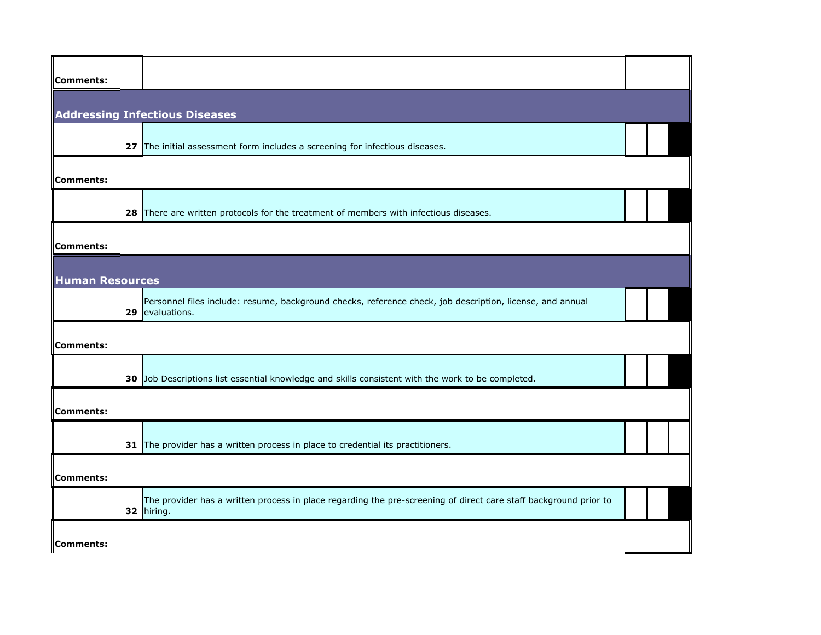| Comments:              |                                                                                                                                |  |
|------------------------|--------------------------------------------------------------------------------------------------------------------------------|--|
|                        | <b>Addressing Infectious Diseases</b>                                                                                          |  |
|                        | 27 The initial assessment form includes a screening for infectious diseases.                                                   |  |
| Comments:              |                                                                                                                                |  |
| 28                     | There are written protocols for the treatment of members with infectious diseases.                                             |  |
| Comments:              |                                                                                                                                |  |
| <b>Human Resources</b> |                                                                                                                                |  |
| 29                     | Personnel files include: resume, background checks, reference check, job description, license, and annual<br>evaluations.      |  |
| Comments:              |                                                                                                                                |  |
|                        | 30 Job Descriptions list essential knowledge and skills consistent with the work to be completed.                              |  |
| Comments:              |                                                                                                                                |  |
|                        | 31 The provider has a written process in place to credential its practitioners.                                                |  |
| Comments:              |                                                                                                                                |  |
|                        | The provider has a written process in place regarding the pre-screening of direct care staff background prior to<br>32 hiring. |  |
| Comments:              |                                                                                                                                |  |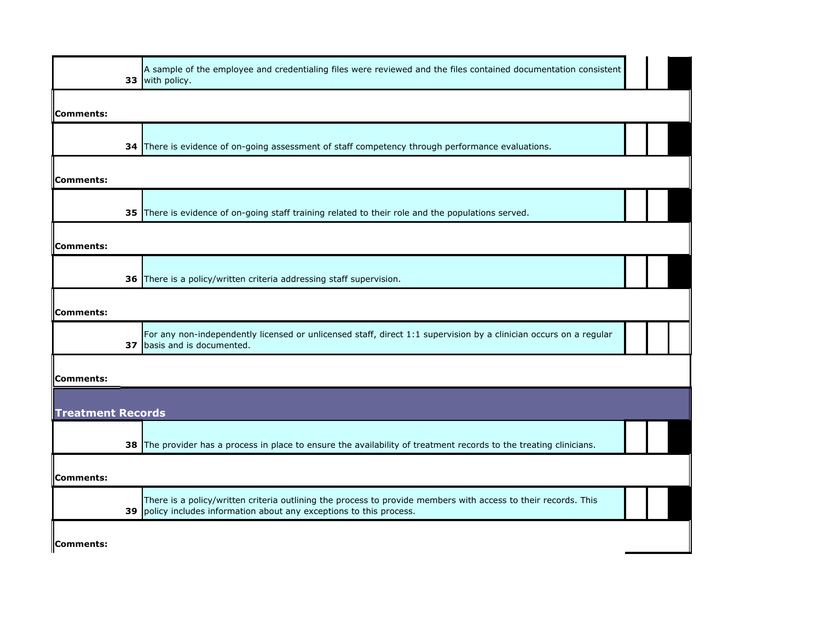| 33                       | A sample of the employee and credentialing files were reviewed and the files contained documentation consistent<br>with policy.                                                        |  |
|--------------------------|----------------------------------------------------------------------------------------------------------------------------------------------------------------------------------------|--|
| Comments:                |                                                                                                                                                                                        |  |
|                          | 34 There is evidence of on-going assessment of staff competency through performance evaluations.                                                                                       |  |
| Comments:                |                                                                                                                                                                                        |  |
|                          | 35 There is evidence of on-going staff training related to their role and the populations served.                                                                                      |  |
| Comments:                |                                                                                                                                                                                        |  |
|                          | 36 There is a policy/written criteria addressing staff supervision.                                                                                                                    |  |
| Comments:                |                                                                                                                                                                                        |  |
| 37                       | For any non-independently licensed or unlicensed staff, direct 1:1 supervision by a clinician occurs on a regular<br>basis and is documented.                                          |  |
| Comments:                |                                                                                                                                                                                        |  |
| <b>Treatment Records</b> |                                                                                                                                                                                        |  |
|                          | 38 The provider has a process in place to ensure the availability of treatment records to the treating clinicians.                                                                     |  |
| Comments:                |                                                                                                                                                                                        |  |
|                          | There is a policy/written criteria outlining the process to provide members with access to their records. This<br>39 policy includes information about any exceptions to this process. |  |
| Comments:                |                                                                                                                                                                                        |  |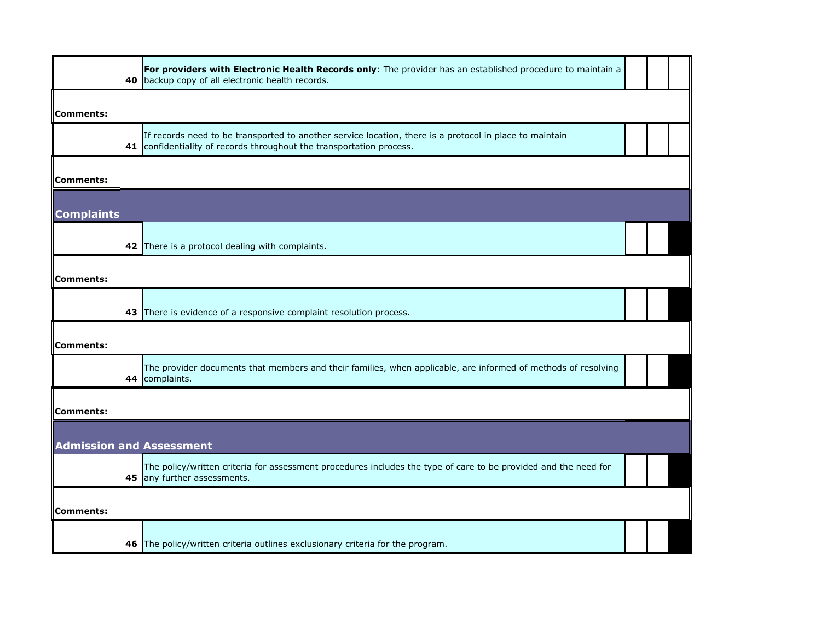| 40                              | For providers with Electronic Health Records only: The provider has an established procedure to maintain a<br>backup copy of all electronic health records.                     |  |  |
|---------------------------------|---------------------------------------------------------------------------------------------------------------------------------------------------------------------------------|--|--|
| Comments:                       |                                                                                                                                                                                 |  |  |
|                                 | If records need to be transported to another service location, there is a protocol in place to maintain<br>41 confidentiality of records throughout the transportation process. |  |  |
| Comments:                       |                                                                                                                                                                                 |  |  |
| <b>Complaints</b>               |                                                                                                                                                                                 |  |  |
|                                 | 42 There is a protocol dealing with complaints.                                                                                                                                 |  |  |
| Comments:                       |                                                                                                                                                                                 |  |  |
|                                 | 43 There is evidence of a responsive complaint resolution process.                                                                                                              |  |  |
| Comments:                       |                                                                                                                                                                                 |  |  |
| 44                              | The provider documents that members and their families, when applicable, are informed of methods of resolving<br>complaints.                                                    |  |  |
| Comments:                       |                                                                                                                                                                                 |  |  |
| <b>Admission and Assessment</b> |                                                                                                                                                                                 |  |  |
|                                 | The policy/written criteria for assessment procedures includes the type of care to be provided and the need for<br>45 any further assessments.                                  |  |  |
| <b>Comments:</b>                |                                                                                                                                                                                 |  |  |
| 46                              | The policy/written criteria outlines exclusionary criteria for the program.                                                                                                     |  |  |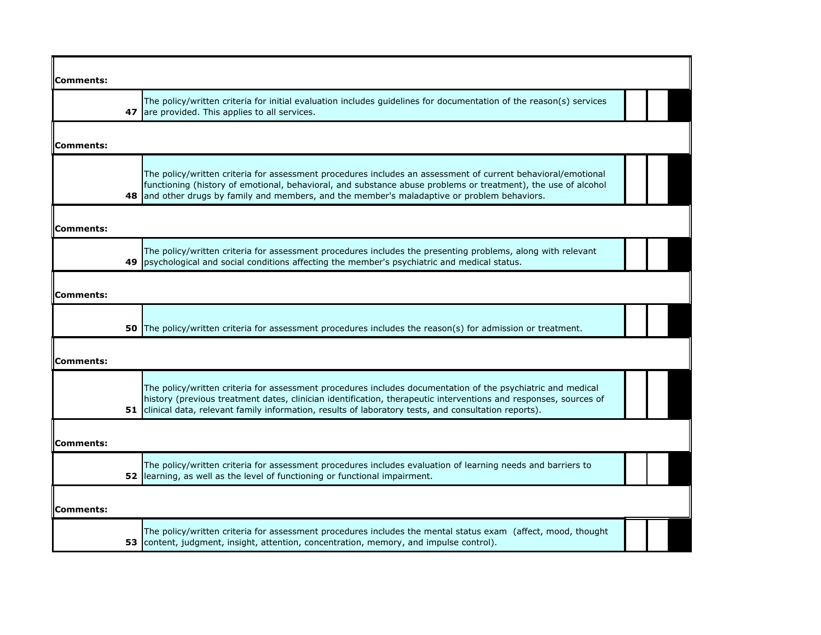| Comments:        |                                                                                                                                                                                                                                                                                                                                           |
|------------------|-------------------------------------------------------------------------------------------------------------------------------------------------------------------------------------------------------------------------------------------------------------------------------------------------------------------------------------------|
|                  | The policy/written criteria for initial evaluation includes guidelines for documentation of the reason(s) services<br>47 are provided. This applies to all services.                                                                                                                                                                      |
|                  |                                                                                                                                                                                                                                                                                                                                           |
| Comments:        |                                                                                                                                                                                                                                                                                                                                           |
| 48               | The policy/written criteria for assessment procedures includes an assessment of current behavioral/emotional<br>functioning (history of emotional, behavioral, and substance abuse problems or treatment), the use of alcohol<br>and other drugs by family and members, and the member's maladaptive or problem behaviors.                |
| Comments:        |                                                                                                                                                                                                                                                                                                                                           |
| 49               | The policy/written criteria for assessment procedures includes the presenting problems, along with relevant<br>psychological and social conditions affecting the member's psychiatric and medical status.                                                                                                                                 |
| Comments:        |                                                                                                                                                                                                                                                                                                                                           |
| 50               | The policy/written criteria for assessment procedures includes the reason(s) for admission or treatment.                                                                                                                                                                                                                                  |
| Comments:        |                                                                                                                                                                                                                                                                                                                                           |
|                  | The policy/written criteria for assessment procedures includes documentation of the psychiatric and medical<br>history (previous treatment dates, clinician identification, therapeutic interventions and responses, sources of<br>51 clinical data, relevant family information, results of laboratory tests, and consultation reports). |
| Comments:        |                                                                                                                                                                                                                                                                                                                                           |
|                  | The policy/written criteria for assessment procedures includes evaluation of learning needs and barriers to<br>52   learning, as well as the level of functioning or functional impairment.                                                                                                                                               |
| <b>Comments:</b> |                                                                                                                                                                                                                                                                                                                                           |
|                  | The policy/written criteria for assessment procedures includes the mental status exam (affect, mood, thought<br>53 content, judgment, insight, attention, concentration, memory, and impulse control).                                                                                                                                    |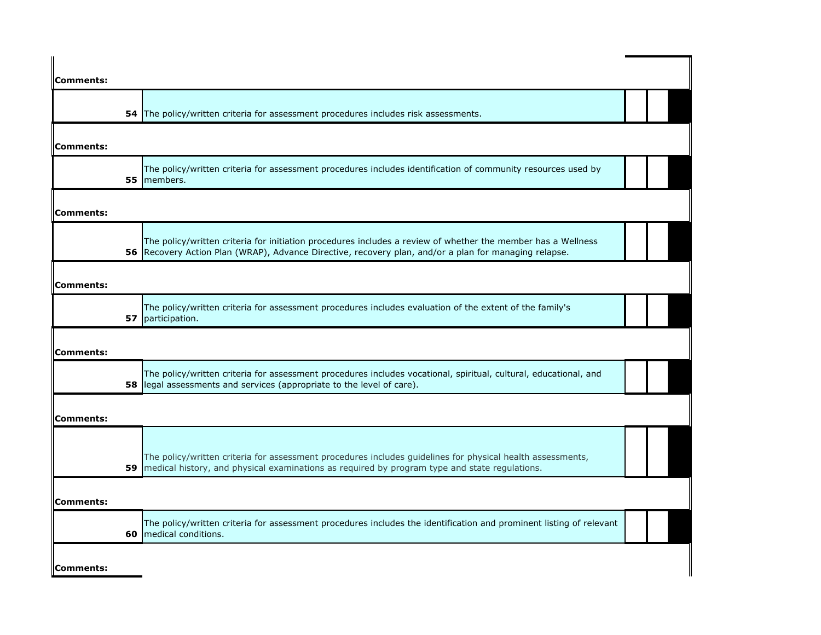| Comments: |                                                                                                                                                                                                                       |  |
|-----------|-----------------------------------------------------------------------------------------------------------------------------------------------------------------------------------------------------------------------|--|
|           | 54 The policy/written criteria for assessment procedures includes risk assessments.                                                                                                                                   |  |
| Comments: |                                                                                                                                                                                                                       |  |
|           | The policy/written criteria for assessment procedures includes identification of community resources used by<br>55 members.                                                                                           |  |
| Comments: |                                                                                                                                                                                                                       |  |
|           | The policy/written criteria for initiation procedures includes a review of whether the member has a Wellness<br>56 Recovery Action Plan (WRAP), Advance Directive, recovery plan, and/or a plan for managing relapse. |  |
| Comments: |                                                                                                                                                                                                                       |  |
|           | The policy/written criteria for assessment procedures includes evaluation of the extent of the family's<br>57 participation.                                                                                          |  |
| Comments: |                                                                                                                                                                                                                       |  |
|           | The policy/written criteria for assessment procedures includes vocational, spiritual, cultural, educational, and<br><b>58</b> legal assessments and services (appropriate to the level of care).                      |  |
| Comments: |                                                                                                                                                                                                                       |  |
| 59        | The policy/written criteria for assessment procedures includes guidelines for physical health assessments,<br>medical history, and physical examinations as required by program type and state regulations.           |  |
| Comments: |                                                                                                                                                                                                                       |  |
|           | The policy/written criteria for assessment procedures includes the identification and prominent listing of relevant<br>60   medical conditions.                                                                       |  |
| Comments: |                                                                                                                                                                                                                       |  |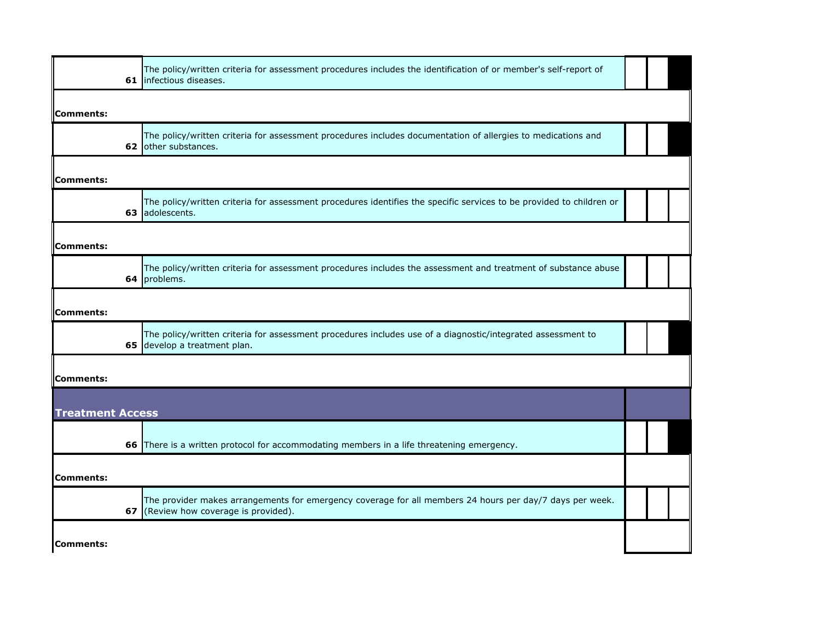| The policy/written criteria for assessment procedures includes the identification of or member's self-report of      |                                                                                                                                                                                                                                                                                  |  |
|----------------------------------------------------------------------------------------------------------------------|----------------------------------------------------------------------------------------------------------------------------------------------------------------------------------------------------------------------------------------------------------------------------------|--|
|                                                                                                                      |                                                                                                                                                                                                                                                                                  |  |
| The policy/written criteria for assessment procedures includes documentation of allergies to medications and         |                                                                                                                                                                                                                                                                                  |  |
|                                                                                                                      |                                                                                                                                                                                                                                                                                  |  |
| The policy/written criteria for assessment procedures identifies the specific services to be provided to children or |                                                                                                                                                                                                                                                                                  |  |
|                                                                                                                      |                                                                                                                                                                                                                                                                                  |  |
| The policy/written criteria for assessment procedures includes the assessment and treatment of substance abuse       |                                                                                                                                                                                                                                                                                  |  |
|                                                                                                                      |                                                                                                                                                                                                                                                                                  |  |
| The policy/written criteria for assessment procedures includes use of a diagnostic/integrated assessment to          |                                                                                                                                                                                                                                                                                  |  |
|                                                                                                                      |                                                                                                                                                                                                                                                                                  |  |
|                                                                                                                      |                                                                                                                                                                                                                                                                                  |  |
|                                                                                                                      |                                                                                                                                                                                                                                                                                  |  |
|                                                                                                                      |                                                                                                                                                                                                                                                                                  |  |
| The provider makes arrangements for emergency coverage for all members 24 hours per day/7 days per week.             |                                                                                                                                                                                                                                                                                  |  |
|                                                                                                                      |                                                                                                                                                                                                                                                                                  |  |
|                                                                                                                      | 61 Infectious diseases.<br>62 other substances.<br>adolescents.<br>64 problems.<br>65 develop a treatment plan.<br><b>Treatment Access</b><br>66 There is a written protocol for accommodating members in a life threatening emergency.<br>67 (Review how coverage is provided). |  |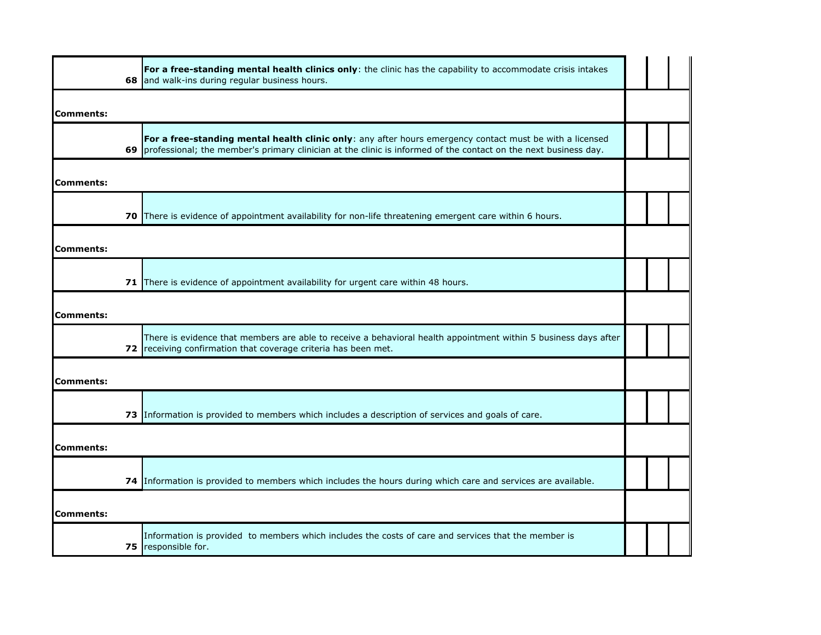|                  | For a free-standing mental health clinics only: the clinic has the capability to accommodate crisis intakes<br>68 and walk-ins during regular business hours.                                                                  |  |  |
|------------------|--------------------------------------------------------------------------------------------------------------------------------------------------------------------------------------------------------------------------------|--|--|
| <b>Comments:</b> |                                                                                                                                                                                                                                |  |  |
|                  | For a free-standing mental health clinic only: any after hours emergency contact must be with a licensed<br>69 professional; the member's primary clinician at the clinic is informed of the contact on the next business day. |  |  |
| <b>Comments:</b> |                                                                                                                                                                                                                                |  |  |
|                  | 70 There is evidence of appointment availability for non-life threatening emergent care within 6 hours.                                                                                                                        |  |  |
| <b>Comments:</b> |                                                                                                                                                                                                                                |  |  |
|                  | 71 There is evidence of appointment availability for urgent care within 48 hours.                                                                                                                                              |  |  |
| <b>Comments:</b> |                                                                                                                                                                                                                                |  |  |
|                  | There is evidence that members are able to receive a behavioral health appointment within 5 business days after<br>72 receiving confirmation that coverage criteria has been met.                                              |  |  |
| <b>Comments:</b> |                                                                                                                                                                                                                                |  |  |
|                  | 73 Information is provided to members which includes a description of services and goals of care.                                                                                                                              |  |  |
| <b>Comments:</b> |                                                                                                                                                                                                                                |  |  |
|                  | 74 Information is provided to members which includes the hours during which care and services are available.                                                                                                                   |  |  |
| Comments:        |                                                                                                                                                                                                                                |  |  |
|                  | Information is provided to members which includes the costs of care and services that the member is<br>75 responsible for.                                                                                                     |  |  |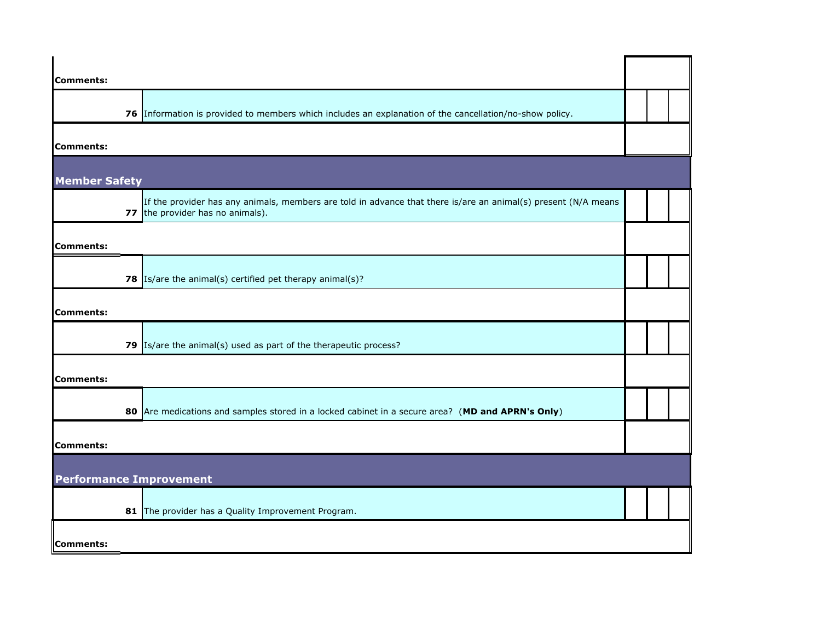| <b>Comments:</b>               |                                                                                                                                                    |  |  |
|--------------------------------|----------------------------------------------------------------------------------------------------------------------------------------------------|--|--|
|                                | 76 Information is provided to members which includes an explanation of the cancellation/no-show policy.                                            |  |  |
| Comments:                      |                                                                                                                                                    |  |  |
| <b>Member Safety</b>           |                                                                                                                                                    |  |  |
|                                | If the provider has any animals, members are told in advance that there is/are an animal(s) present (N/A means<br>77 the provider has no animals). |  |  |
| Comments:                      |                                                                                                                                                    |  |  |
|                                | 78 $\left  \frac{1}{s}\right $ Is/are the animal(s) certified pet therapy animal(s)?                                                               |  |  |
| <b>Comments:</b>               |                                                                                                                                                    |  |  |
|                                | 79 $Is/are$ the animal(s) used as part of the therapeutic process?                                                                                 |  |  |
| Comments:                      |                                                                                                                                                    |  |  |
|                                | 80 Are medications and samples stored in a locked cabinet in a secure area? (MD and APRN's Only)                                                   |  |  |
| Comments:                      |                                                                                                                                                    |  |  |
| <b>Performance Improvement</b> |                                                                                                                                                    |  |  |
|                                | 81 The provider has a Quality Improvement Program.                                                                                                 |  |  |
| Comments:                      |                                                                                                                                                    |  |  |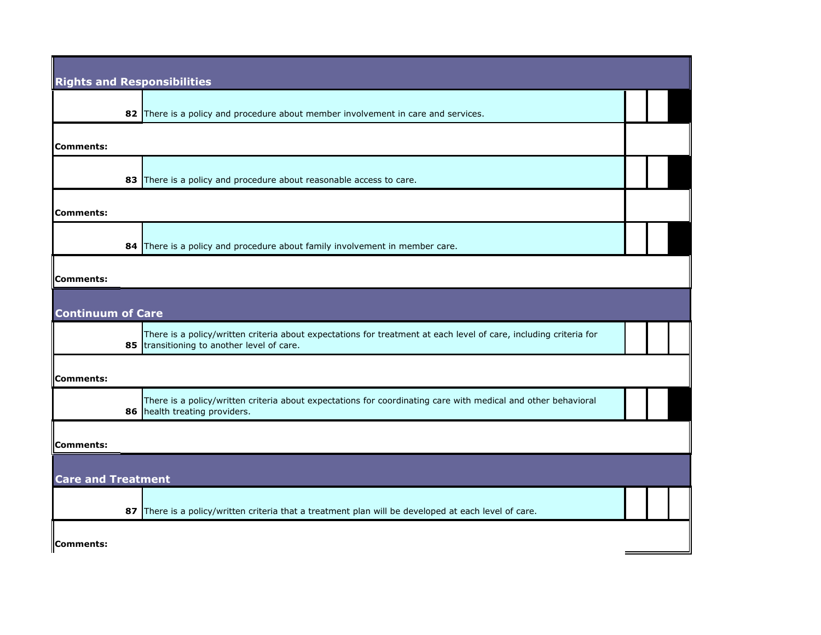| <b>Rights and Responsibilities</b> |                                                                                                                                                                 |  |  |
|------------------------------------|-----------------------------------------------------------------------------------------------------------------------------------------------------------------|--|--|
|                                    | 82 There is a policy and procedure about member involvement in care and services.                                                                               |  |  |
| Comments:                          |                                                                                                                                                                 |  |  |
| 83                                 | There is a policy and procedure about reasonable access to care.                                                                                                |  |  |
| <b>Comments:</b>                   |                                                                                                                                                                 |  |  |
|                                    | 84 There is a policy and procedure about family involvement in member care.                                                                                     |  |  |
| <b>Comments:</b>                   |                                                                                                                                                                 |  |  |
| <b>Continuum of Care</b>           |                                                                                                                                                                 |  |  |
|                                    | There is a policy/written criteria about expectations for treatment at each level of care, including criteria for<br>85 transitioning to another level of care. |  |  |
| <b>Comments:</b>                   |                                                                                                                                                                 |  |  |
|                                    | There is a policy/written criteria about expectations for coordinating care with medical and other behavioral<br>86 health treating providers.                  |  |  |
| Comments:                          |                                                                                                                                                                 |  |  |
| <b>Care and Treatment</b>          |                                                                                                                                                                 |  |  |
|                                    | 87 There is a policy/written criteria that a treatment plan will be developed at each level of care.                                                            |  |  |
| Comments:                          |                                                                                                                                                                 |  |  |